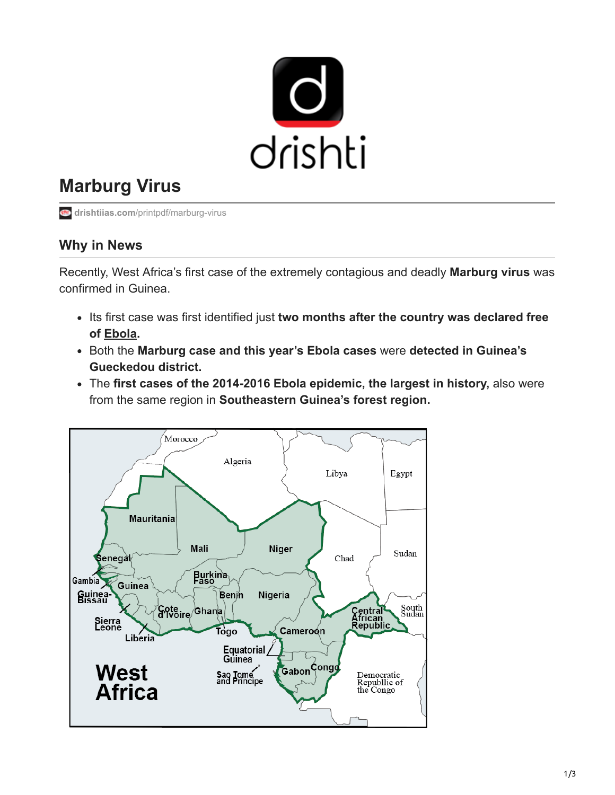

## **Marburg Virus**

**drishtiias.com[/printpdf/marburg-virus](https://www.drishtiias.com/printpdf/marburg-virus)** 

## **Why in News**

Recently, West Africa's first case of the extremely contagious and deadly **Marburg virus** was confirmed in Guinea.

- Its first case was first identified just two months after the country was declared free **of [Ebola](https://www.drishtiias.com/daily-updates/daily-news-analysis/ebola-virus).**
- Both the **Marburg case and this year's Ebola cases** were **detected in Guinea's Gueckedou district.**
- The **first cases of the 2014-2016 Ebola epidemic, the largest in history,** also were from the same region in **Southeastern Guinea's forest region.**

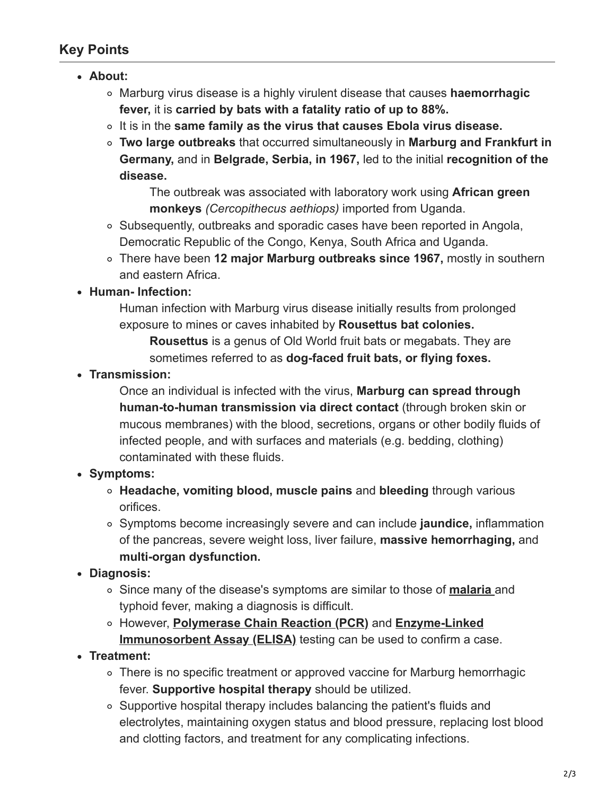## **Key Points**

- **About:**
	- Marburg virus disease is a highly virulent disease that causes **haemorrhagic fever,** it is **carried by bats with a fatality ratio of up to 88%.**
	- It is in the **same family as the virus that causes Ebola virus disease.**
	- **Two large outbreaks** that occurred simultaneously in **Marburg and Frankfurt in Germany,** and in **Belgrade, Serbia, in 1967,** led to the initial **recognition of the disease.**

The outbreak was associated with laboratory work using **African green monkeys** *(Cercopithecus aethiops)* imported from Uganda.

- $\circ$  Subsequently, outbreaks and sporadic cases have been reported in Angola, Democratic Republic of the Congo, Kenya, South Africa and Uganda.
- There have been **12 major Marburg outbreaks since 1967,** mostly in southern and eastern Africa.
- **Human- Infection:**

Human infection with Marburg virus disease initially results from prolonged exposure to mines or caves inhabited by **Rousettus bat colonies.**

**Rousettus** is a genus of Old World fruit bats or megabats. They are sometimes referred to as **dog-faced fruit bats, or flying foxes.**

**Transmission:**

Once an individual is infected with the virus, **Marburg can spread through human-to-human transmission via direct contact** (through broken skin or mucous membranes) with the blood, secretions, organs or other bodily fluids of infected people, and with surfaces and materials (e.g. bedding, clothing) contaminated with these fluids.

- **Symptoms:**
	- **Headache, vomiting blood, muscle pains** and **bleeding** through various orifices.
	- Symptoms become increasingly severe and can include **jaundice,** inflammation of the pancreas, severe weight loss, liver failure, **massive hemorrhaging,** and **multi-organ dysfunction.**
- **Diagnosis:**
	- Since many of the disease's symptoms are similar to those of **[malaria](https://www.drishtiias.com/daily-updates/daily-news-analysis/world-malaria-day-2021)** and typhoid fever, making a diagnosis is difficult.
	- However, **[Polymerase Chain Reaction \(PCR\)](https://www.drishtiias.com/daily-updates/daily-news-analysis/elisa-antibody-kits)** and **Enzyme-Linked Immunosorbent Assay (ELISA)** testing can be used to confirm a case.
- **Treatment:**
	- There is no specific treatment or approved vaccine for Marburg hemorrhagic fever. **Supportive hospital therapy** should be utilized.
	- $\circ$  Supportive hospital therapy includes balancing the patient's fluids and electrolytes, maintaining oxygen status and blood pressure, replacing lost blood and clotting factors, and treatment for any complicating infections.